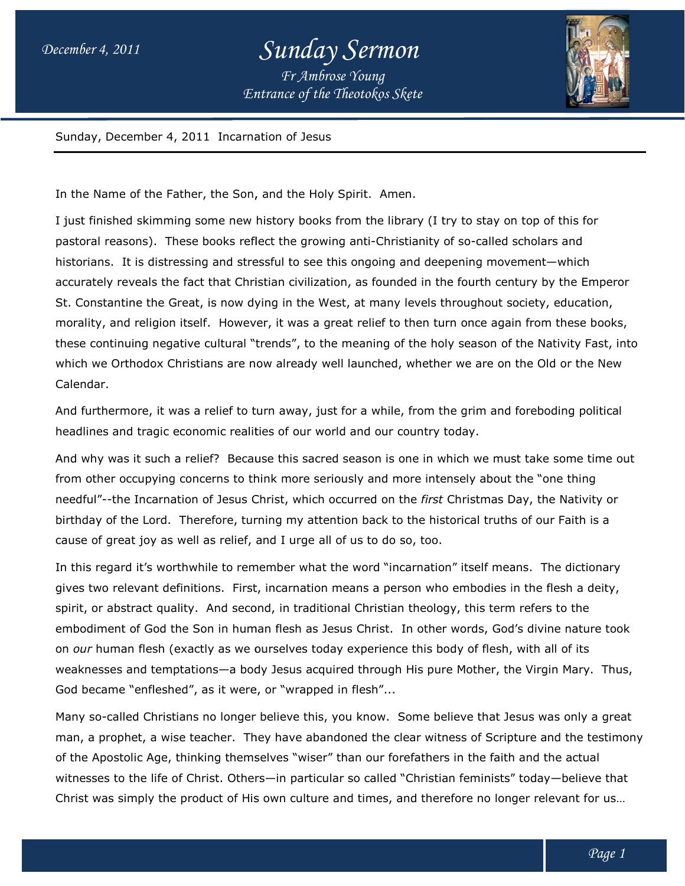## *Sunday Sermon*

*Entrance of the Theotokos Skete Fr Ambrose Young*



Sunday, December 4, 2011 Incarnation of Jesus

In the Name of the Father, the Son, and the Holy Spirit. Amen.

In the Name of the Father, the Son, and the Holy Spirit. Amen.<br>I just finished skimming some new history books from the library (I try to stay on top of this for pastoral reasons). These books reflect the growing anti-Christianity of so-called scholars and historians. It is distressing and stressful to see this ongoing and deepening movement—which accurately reveals the fact that Christian civilization, as founded in the fourth cent century by the Emperor St. Constantine the Great, is now dying in the West, at many levels throughout society, education, morality, and religion itself. However, it was a great relief to then turn once again from these books, these continuing negative cultural "trends", to the meaning of the holy season of the Nativity Fast, into which we Orthodox Christians are now already well launched, whether we are on the Old or the New Calendar. *Entrance of the Theotokos Skete*<br>
rnation of Jesus<br>
on, and the Holy Spirit. Amen.<br>
whistory books from the library (I<br>
reflect the growing anti-Christianity<br>
tressful to see this ongoing and dee<br>
hristian civilization, a accurately reveals the fact that Christian civilization, as founded in the fourth century by the Emperol<br>St. Constantine the Great, is now dying in the West, at many levels throughout society, education,<br>morality, and reli

And furthermore, it was a relief to turn away, just for a while, from the grim and foreboding political headlines and tragic economic realities of our world and our country today.

And why was it such a relief? Because this sacred season is one in which we must take some time out And why was it such a relief? Because this sacred season is one in which we must take some tir<br>from other occupying concerns to think more seriously and more intensely about the "one thing needful"--the Incarnation of Jesus Christ, which occurred on the *first* Christmas Day, the Nativity or birthday of the Lord. Therefore, turning my attention back to the historical truths of our Faith is a cause of great joy as well as relief, and I urge all of us to do so, too. it for a while, from the grim and foreboding politic<br>rld and our country today.<br>d season is one in which we must take some time<br>iously and more intensely about the "one thing<br>occurred on the *first* Christmas Day, the Nati

In this regard it's worthwhile to remember what the word "incarnation" itself means. The dictionary gives two relevant definitions. First, incarnation means a person who embodies in the flesh a deity, gives two relevant definitions. First, incarnation means a person who embodies in the flesh a d<br>spirit, or abstract quality. And second, in traditional Christian theology, this term refers to the embodiment of God the Son in human flesh as Jesus Christ. In other words, God's divine nature took on *our* human flesh (exactly as we ourselves today experience this body of flesh, with all of its weaknesses and temptations—a body Jesus acquired through His pure Mother, the Virgin Mary. Thus, God became "enfleshed", as it were, or "wrapped in flesh"... on *our* human flesh (exactly as we ourselves today experience this body of flesh, with all of its<br>weaknesses and temptations—a body Jesus acquired through His pure Mother, the Virgin Mary. Thus,<br>God became "enfleshed", as

Many so-called Christians no longer believe this, you know. Some believe that Jesus was only a great of the Apostolic Age, thinking themselves "wiser" than our forefathers in the faith and the actual of the Apostolic Age, thinking themselves "wiser" than our forefathers in the faith and tl<br>witnesses to the life of Christ. Others—in particular so called "Christian feminists" today Christ was simply the product of His own culture and times, and therefore no longer relevant for us... flesh as Jesus Christ. In other words, God's divine nature took<br>selves today experience this body of flesh, with all of its<br>esus acquired through His pure Mother, the Virgin Mary. Thus,<br>"wrapped in flesh"...<br>ieve this, you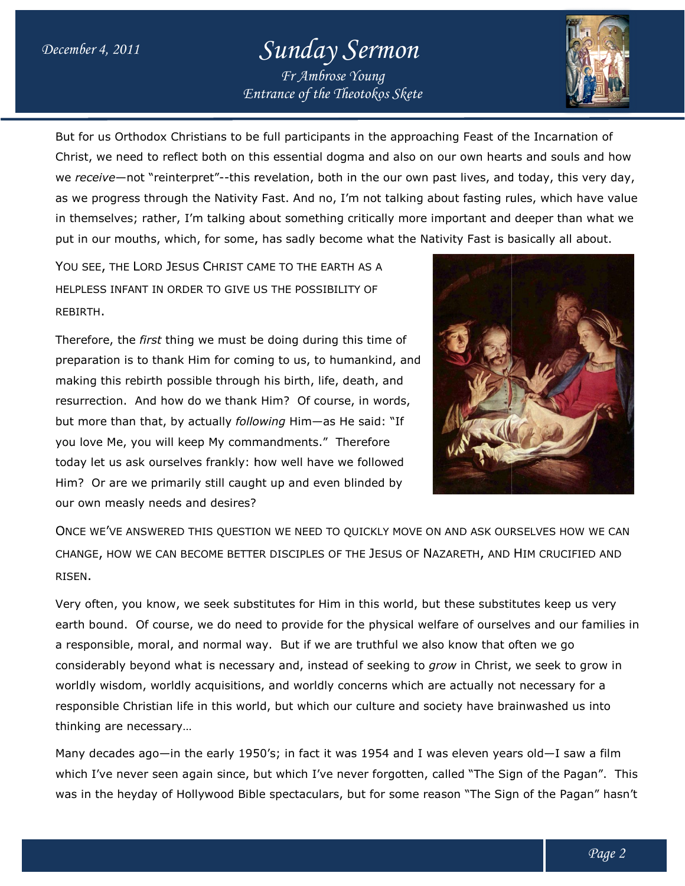## *Sunday Sermon Fr Ambrose Young*

*Entrance of the Theotokos Skete*



But for us Orthodox Christians to be full participants in the approaching Feast of the Incarnation of Feast the Incarnation of Christ, we need to reflect both on this essential dogma and also on our own hearts and souls and how we *receive*—not "reinterpret"--this revelation, both in the our own past lives, and today, this very day, as we progress through the Nativity Fast. And no, I'm not talking about fasting rules, which have value in themselves; rather, I'm talking about something critically more important and deeper than what we than what put in our mouths, which, for some, has sadly become what the Nativity Fast is basically all about. reflect both on this essential dogma and also on our own hearts and souls and l<br>einterpret"--this revelation, both in the our own past lives, and today, this very<br>ough the Nativity Fast. And no, I'm not talking about fasti

YOU SEE, THE LORD JESUS CHRIST CAME TO THE EARTH AS A HELPLESS INFANT IN ORDER TO GIVE US THE RDER GIVE US THE POSSIBILITY OF REBIRTH.

Therefore, the *first* thing we must be doing during this time of preparation is to thank Him for coming to us, to humankind, and making this rebirth possible through his birth, life, death, and resurrection. And how do we thank Him? Of course, in words, but more than that, by actually *following* Him—as He said: "If you love Me, you will keep My commandments." Therefore today let us ask ourselves frankly: how well have we followed Him? Or are we primarily still caught up and even blinded by our own measly needs and desires? *Entrance of the Theotokos Skete*<br>
be full participants in the approach<br>
this essential dogma and also on c<br>
is revelation, both in the our own p;<br>
ity Fast. And no, I'm not talking ab<br>
about something critically more in<br> to us, to humankind, an<br>; birth, life, death, and<br>n? Of course, in words, you love Me, you will keep My commandments." The<br>today let us ask ourselves frankly: how well have we<br>Him? Or are we primarily still caught up and even bli



Once we've answered this question we need to quickly move on and ask ourselves how we can CHANGE, HOW WE CAN BECOME BETTER DISCIPLES OF THE JESUS OF NAZARETH, AND HIM CRUCIFIED AND RISEN.

Very often, you know, we seek substitutes for Him in this world, but these substitutes keep us very earth bound. Of course, we do need to provide for the physical welfare of ourselves and our families in a responsible, moral, and normal way. But if we are truthful we also know that often we go earth bound. Of course, we do need to provide for the physical welfare of ourselves and our families in<br>a responsible, moral, and normal way. But if we are truthful we also know that often we go<br>considerably beyond what worldly wisdom, worldly acquisitions, and worldly concerns which are actually not necessary for a worldly wisdom, worldly acquisitions, and worldly concerns which are actually not necessary for a<br>responsible Christian life in this world, but which our culture and society have brainwashed us into thinking are necessary… r Him in this world, but these substitutes keep us very<br>de for the physical welfare of ourselves and our familie<br>ive are truthful we also know that often we go<br>instead of seeking to *grow* in Christ, we seek to grow in<br>rld

Many decades ago—in the early 1950's; in fact it was 1954 and I was eleven years old—I saw a film which I've never seen again since, but which I've never forgotten, called "The Sign of the P Pagan". This Many decades ago—in the early 1950's; in fact it was 1954 and I was eleven years old—I saw a film<br>which I've never seen again since, but which I've never forgotten, called "The Sign of the Pagan". This<br>was in the heyday o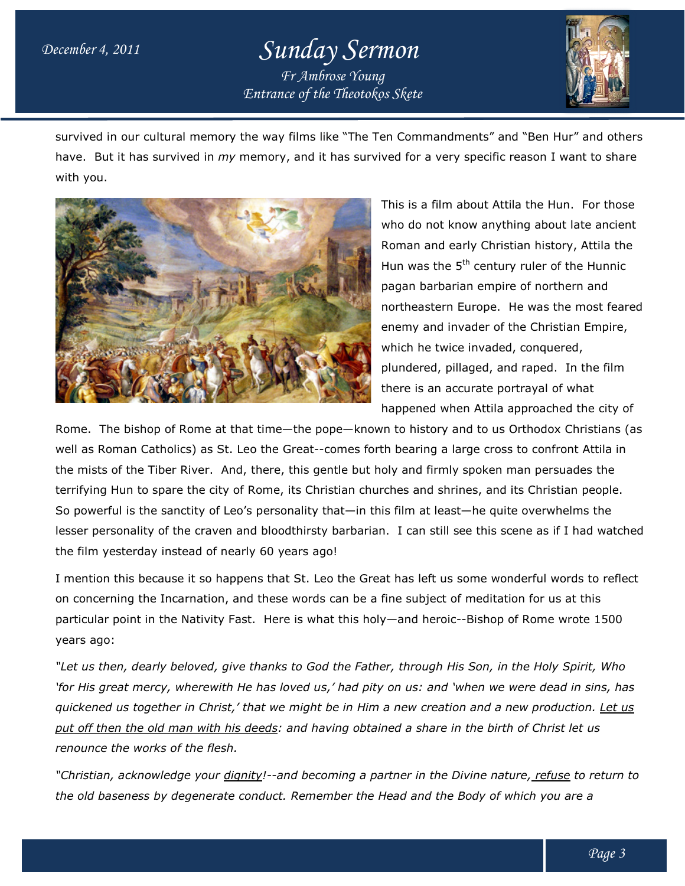## *Entrance of the Theotokos Skete Sunday Sermon Fr Ambrose Young*



survived in our cultural memory the way films like "The Ten Commandments" and "Ben Hur" and others survived in our cultural memory the way films like "The Ten Commandments" and "Ben Hur" and others<br>have. But it has survived in *my* memory, and it has survived for a very specific reason I want to share with you.



This is a film about Attila the Hun. For those who do not know anything about late ancient Roman and early Christian history, Attila the Hun was the 5<sup>th</sup> century ruler of the Hunnic pagan barbarian empire of northern and northeastern Europe. He was the most feared enemy and invader of the Christian Empire, which he twice invaded, conquered, plundered, pillaged, and raped. In the film there is an accurate portrayal of what happened when Attila approached the city of nd it has survived for a very specific reason I want to share<br>
This is a film about Attila the Hun. For those<br>
who do not know anything about late ancient<br>
Roman and early Christian history, Attila the<br>
Hun was the 5<sup>th</sup> c

Rome. The bishop of Rome at that time—the pope—known to history and to us Orthodox Christians (as well as Roman Catholics) as St. Leo the Great--comes forth bearing a large cross to confront Attila in the mists of the Tiber River. And, there, this gentle but holy and firmly spoken man persuades the the mists of the Tiber River. And, there, this gentle but holy and firmly spoken man persuades the<br>terrifying Hun to spare the city of Rome, its Christian churches and shrines, and its Christian people. So powerful is the sanctity of Leo's personality that—in this film at least—he quite overwhelms the lesser personality of the craven and bloodthirsty barbarian. I can still see this scene as if I had watched the film yesterday instead of nearly 60 years ago! lesser personality of the craven and bloodthirsty barbarian. I can still see this scene as if I had watched<br>the film yesterday instead of nearly 60 years ago!<br>I mention this because it so happens that St. Leo the Great has

on concerning the Incarnation, and these words can be a fine subject of meditation for us at this on concerning the Incarnation, and these words can be a fine subject of meditation for us at this<br>particular point in the Nativity Fast. Here is what this holy—and heroic--Bishop of Rome wrote 1500 years ago:

*"Let us then, dearly beloved, give thanks to God the Father, through His Son, in the Holy Spirit, Who 'for His great mercy, wherewith He has loved us,' had pity on us: and 'when we were dead in sins, has*  "Let us then, dearly beloved, give thanks to God the Father, through His Son, in the Holy Spirit, Who<br>'for His great mercy, wherewith He has loved us,' had pity on us: and 'when we were dead in sins, has<br>quickened us toget *put off then the old man with his deeds deeds: and having obtained a share in the birth of Christ let us renounce the works of the flesh.*  put off then the old man with his deeds: and having obtained a share in the birth of Christ let us<br>renounce the works of the flesh.<br>"Christian, acknowledge your <u>dignity</u>!--and becoming a partner in the Divine nature<u>, ref</u>

*the old baseness by degenerate conduct. Remember the Head and the Body of which you are a baseness by degenerate*